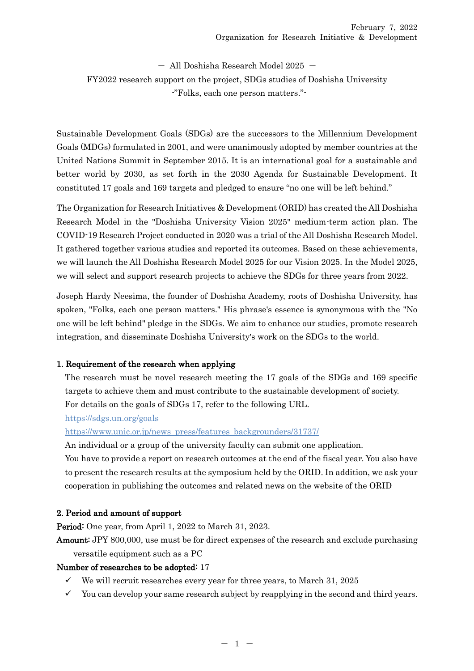$-$  All Doshisha Research Model 2025  $-$ FY2022 research support on the project, SDGs studies of Doshisha University -"Folks, each one person matters."-

Sustainable Development Goals (SDGs) are the successors to the Millennium Development Goals (MDGs) formulated in 2001, and were unanimously adopted by member countries at the United Nations Summit in September 2015. It is an international goal for a sustainable and better world by 2030, as set forth in the 2030 Agenda for Sustainable Development. It constituted 17 goals and 169 targets and pledged to ensure "no one will be left behind."

The Organization for Research Initiatives & Development (ORID) has created the All Doshisha Research Model in the "Doshisha University Vision 2025" medium-term action plan. The COVID-19 Research Project conducted in 2020 was a trial of the All Doshisha Research Model. It gathered together various studies and reported its outcomes. Based on these achievements, we will launch the All Doshisha Research Model 2025 for our Vision 2025. In the Model 2025, we will select and support research projects to achieve the SDGs for three years from 2022.

Joseph Hardy Neesima, the founder of Doshisha Academy, roots of Doshisha University, has spoken, "Folks, each one person matters." His phrase's essence is synonymous with the "No one will be left behind" pledge in the SDGs. We aim to enhance our studies, promote research integration, and disseminate Doshisha University's work on the SDGs to the world.

## 1. Requirement of the research when applying

The research must be novel research meeting the 17 goals of the SDGs and 169 specific targets to achieve them and must contribute to the sustainable development of society. For details on the goals of SDGs 17, refer to the following URL.

https://sdgs.un.org/goals

[https://www.unic.or.jp/news\\_press/features\\_backgrounders/31737/](https://www.unic.or.jp/news_press/features_backgrounders/31737/)

An individual or a group of the university faculty can submit one application.

You have to provide a report on research outcomes at the end of the fiscal year. You also have to present the research results at the symposium held by the ORID. In addition, we ask your cooperation in publishing the outcomes and related news on the website of the ORID

## 2. Period and amount of support

Period: One year, from April 1, 2022 to March 31, 2023.

Amount: JPY 800,000, use must be for direct expenses of the research and exclude purchasing versatile equipment such as a PC

## Number of researches to be adopted: 17

- $\checkmark$  We will recruit researches every year for three years, to March 31, 2025
- $\checkmark$  You can develop your same research subject by reapplying in the second and third years.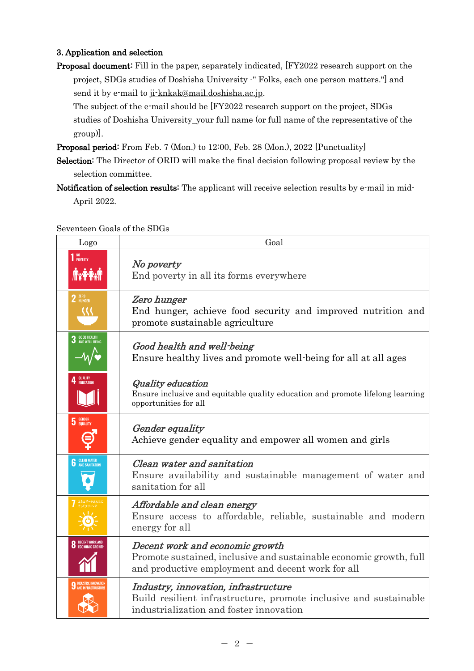## 3. Application and selection

Proposal document: Fill in the paper, separately indicated, [FY2022 research support on the project, SDGs studies of Doshisha University -" Folks, each one person matters."] and send it by e-mail to [ji-knkak@mail.doshisha.ac.jp.](file:///D:/Documents%20and%20Settings/rs-kj61/デスクトップ/新しいフォルダー%20(3)/ji-knkak@mail.doshisha.ac.jp)

The subject of the e-mail should be [FY2022 research support on the project, SDGs studies of Doshisha University\_your full name (or full name of the representative of the group)].

Proposal period: From Feb. 7 (Mon.) to 12:00, Feb. 28 (Mon.), 2022 [Punctuality]

- Selection: The Director of ORID will make the final decision following proposal review by the selection committee.
- Notification of selection results: The applicant will receive selection results by e-mail in mid-April 2022.

Seventeen Goals of the SDGs

| Logo                                           | Goal                                                                                                                                                       |
|------------------------------------------------|------------------------------------------------------------------------------------------------------------------------------------------------------------|
| 1 <sup>NO</sup><br>Poverty<br><b>Axie Axie</b> | No poverty<br>End poverty in all its forms everywhere                                                                                                      |
| $2$ $2$ HUNGER                                 | Zero hunger<br>End hunger, achieve food security and improved nutrition and<br>promote sustainable agriculture                                             |
|                                                | Good health and well-being<br>Ensure healthy lives and promote well-being for all at all ages                                                              |
| QUALITY<br>Education                           | <b>Quality education</b><br>Ensure inclusive and equitable quality education and promote lifelong learning<br>opportunities for all                        |
| <b>GENDER</b><br>EQUALITY                      | <b>Gender</b> equality<br>Achieve gender equality and empower all women and girls                                                                          |
| <b>CLEAN WATER</b><br>AND SANITATION           | Clean water and sanitation<br>Ensure availability and sustainable management of water and<br>sanitation for all                                            |
|                                                | Affordable and clean energy<br>Ensure access to affordable, reliable, sustainable and modern<br>energy for all                                             |
|                                                | Decent work and economic growth<br>Promote sustained, inclusive and sustainable economic growth, full<br>and productive employment and decent work for all |
|                                                | Industry, innovation, infrastructure<br>Build resilient infrastructure, promote inclusive and sustainable<br>industrialization and foster innovation       |